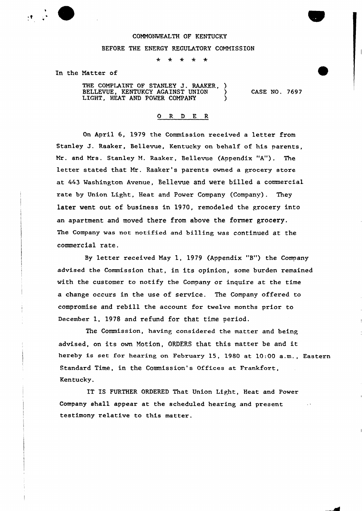

#### COMMONWEALTH OF KENTUCKY

### BEFORE THE ENERGY REGULATORY COMMISSION

 $\star$   $\star$ 

In the Natter of

THE COMPLAINT OF STANLEY J. RAAKER, BELLEVUE, KENTUKCY AGAINST UNION ) LIGHT, HEAT AND POWER COMPANY  $\qquad$ 

CASE NO. 7697

### O R D E R

On April 6, 1979 the Commission received a letter from Stanley J. Raaker, Bellevue, Kentucky on behalf of his parents, Mr. and Mrs. Stanley M. Raaker, Bellevue (Appendix "A"). The letter stated that Mr. Raaker's parents owned a grocery store at 443 Washington Avenue, Bellevue and were billed a commercial rate by Union Light, Heat and Power Company (Company). They later went out of business in 1970, remodeled the grocery into an apartment and moved there from above the former grocery. The Company was not notified and billing was continued at the commercial rate.

By letter received May 1, 1979 (Appendix "B") the Company advised the Commission that, in its opinion, some burden remained with the customer to notify the Company or inquire at the time a change occurs in the use of service. The Company offered to compromise and rebill the account for twelve months prior to December 1, 1978 and refund for that time period.

The Commission, having considered the matter and being advised, on its own Motion, ORDERS that this matter be and it hereby is set for hearing on February 15, 1980 at 10:00 a.m., Eastern Standard Time, in the Commission's Offices at Frankfort, Kentucky.

IT IS FURTHER ORDERED That Union Light, Heat and Power Company shall appear at the scheduled hearing and present testimony relative to this matter.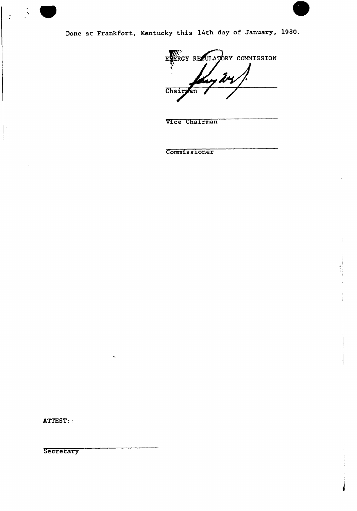

Done at Frankfort, Kentucky this 14th day of January, 1980.

ENERGY ELERGY RESULATORY COMMISSION Chairman

Vice Chairman

Commissioner

ATTEST:

**Secretary**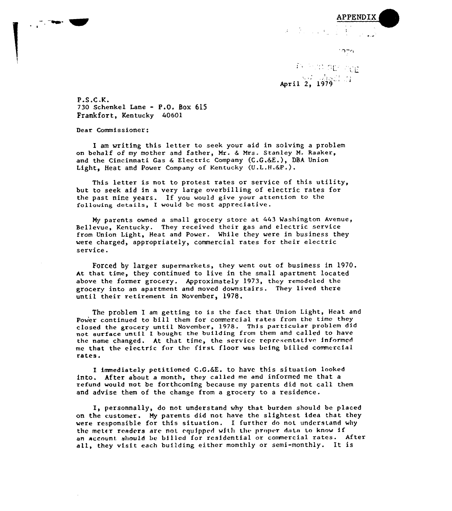

## APPENDIX  $\tilde{\sigma} = \frac{1}{2} \left( \begin{smallmatrix} 1 & 0 & 0 \\ 0 & 1 & 0 \\ 0 & 0 & 0 \end{smallmatrix} \right)$

April 2, 1979

P.S.C.K. <sup>730</sup> Schenkel Lane - P.O. Box <sup>615</sup> Frankfort, Kentucky 40601

Dear Commissioner:

I am writing this letter to seek your aid in solving a problem on behalf of my mother and father, Mr. <sup>6</sup> Mrs. Stanley M. Raaker, and the Cincinnati Gas 6 Electric Company (C.G.6E.), DBA Union Light, Heat and Power Company of Kentucky (U.L.H.&P.).

This letter is not to protest rates or service of this utility, but to seek aid in a very large overbilling of electric rates for the past nine years. If you would give your attention to the following details, <sup>1</sup> would be most appreciative.

My parents owned a small grocery store at 443 Washington Avenue, Bellevue, Kentucky. They received their gas and electric service from Union Light, Heat and Power. While they were in business they were charged, appropriately, commercial rates for their electric service.

Forced by larger supermarkets, they went out of business in 1970. At that time, they continued to live in the small apartment located above the former grocery. Approximately 1973, they remodeled the grocery into an apartment and moved downstairs. They lived there until their retirement in November, 1978.

Thc problem I am getting to is the fact that Union Light, Heat and Power continued to bill them for commercial rates from the time they closed the grocery until November, 1978. This particular problem did not surface until I bought the building from them and called to have the name changed. At that time, the service representative informed me that the electric for the first floor was being billed commercial rates.

I immediately petitioned C,G.6E. to have this situation looked into. After about a month, they called me and informed me that <sup>a</sup> refund would not be forthcoming because my parents did not call them and advise them of the change from a grocery to a residence.

I, personnally, do not understand why that burden should be placed on the customer. My parents did not have the slightest idea that they were responsible for this situation. I further do not understand why the meter readers are not equipped with the proper data to know if an account should be billed for residential or commercial rates. After all, they visit each building either monthly or semi-monthly. It is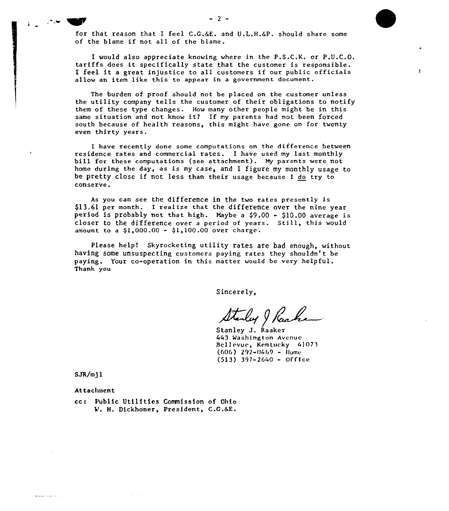for that reason that I feel  $C.G.G.E.$  and  $U.L.H.G.P.$  should share some of the blame if not all of the blame.

I would also appreciate knowing where in the P.S.C.K. or P.U.C.O. tariffs does it specifically state that the customer is responsible. I feel it <sup>a</sup> great injustice to all customers if our public officials allow an item like this to appear in a government document.

The burden of proof should not be placed on the customer unless the utility company tells the customer of their obligations to notify them of these type changes. How many other people might be in this same situation and not know it2 If my parents had not been forced south because of health reasons, this might have gone on for twenty even thirty years.

I have recently done some computations on the difference between residence rates and commercial rates. I have used my last monthly bill for these computations {see attachment}. My parents were not home during the day, as is my case, and I figure my monthly usage to be pretty close if not less than their usage because I do try to conserve.

As you can see the difference in the two rates presently is \$13.61 per month. I realize that the difference over the nine year period is probably not that high. Maybe a \$9.00 - \$10.00 average is closer to the difference over a period of years. Still, this woul  $\frac{1}{2}$  amount to a \$1,000.00 - \$1,100.00 over charge

Please help! Skyrocketing utility rates are bad enough, without having some unsuspecting customers paying rates they shouldn't be paying. Your co-operation in this matter would be very helpful. Thank you

Sincerely,

Stanley J Raake

443 Washington Avenue Bellevue, Kentucky 41073  $(606)$  292-0469 - Home  $(513)$  397-2640 - Office

SJR/m) I

and the state of

 $\sim$   $\sim$ 

Attachment

cc: Public Utilities Commission of Ohio V. H. Dickhoner, President, C.G.SE.

**Service**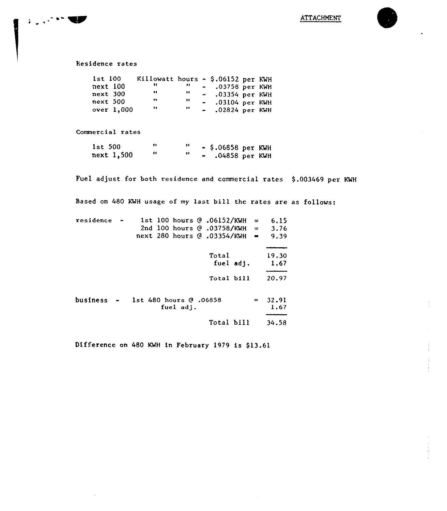### Residence rates

 $\label{eq:2} \mathcal{L}_{\text{max}} = \mathcal{L}_{\text{max}} = \mathcal{L}_{\text{max}}$ 

| Killowatt hours - \$.06152 per KWH<br>$1st$ $100$<br><br>$next$ 100<br>$-$ .03758 per KWH<br>.,<br>$\bullet \bullet$ . The set of $\bullet$<br>.,<br>next 300<br>$-$ .03354 per KWH<br>,,<br>.,<br>next 500<br>$-$ .03104 per KWH<br><br>11 |
|---------------------------------------------------------------------------------------------------------------------------------------------------------------------------------------------------------------------------------------------|
| $-$ .02824 per KWH<br>over $1,000$                                                                                                                                                                                                          |

Commercial rates

| $1st$ 500  |  | $-$ \$.06858 per KWH |  |
|------------|--|----------------------|--|
| next 1,500 |  | $-$ .04858 per KWH   |  |

Fuel adjust for both residence and commercial rates \$.003469 per KWH

Based on 480 KWH usage of my last bill the rates are as follows:

| residence |  |                                      | 1st 100 hours @ .06152/KWH<br>2nd 100 hours $\odot$ .03758/KWH =<br>next 280 hours @ .03354/KWH | $=$<br>$\blacksquare$ | 6.15<br>3.76<br>9.39 |
|-----------|--|--------------------------------------|-------------------------------------------------------------------------------------------------|-----------------------|----------------------|
|           |  |                                      | Total<br>fuel adj.                                                                              |                       | 19.30<br>1.67        |
|           |  |                                      | Total bill                                                                                      |                       | 20.97                |
| business  |  | 1st 480 hours $0.06858$<br>fuel adi. |                                                                                                 | $=$                   | 32.91<br>1,67        |
|           |  |                                      | Total bill                                                                                      |                       | 34.58                |

Difference on 480 KWH in February 1979 is \$13.61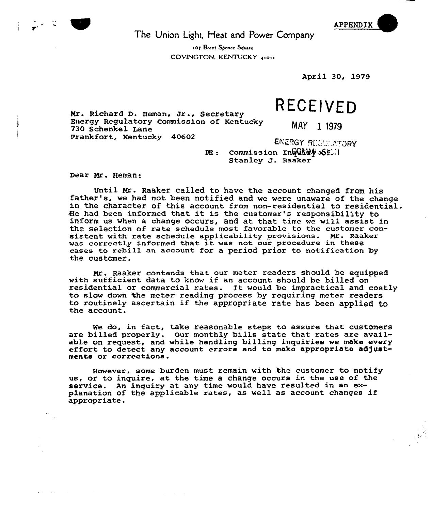APPENDIX

 $\sim 50$ 

The Union Light, Heat and Power Company

107 Brent Spence Square COVINGTON, KENTUCKY 41011

April 30, 1979

# RECEIVED

Mr. Richard D. Heman, Jr., Secretary Energy Regulatory Commission of Kentucky 730 Schenkel Lane Frankfort, Kentucky 40602

MAY 1 1979

ENERGY REGULATORY  $RE:$  Commission Ing (A)  $k$   $\leq$   $1$ Stanley  $\sigma$ . Raaker

Dear Mr. Heman:

Until Mr. Raaker called to have the account changed from his<br>father's, we had not been notified and we were unaware of the change<br>in the character of this account from non-residential to residential. He had been informed that it is the customer's responsibility to inform us when a change occurs, and at that time we will assist in the selection of rate schedule most favorable to the customer consistent with rate schedule applicability provisions. Mr. Raaker was correctly informed that it was not our procedure in these cases to rebill an account for a period prior to notification by the customer.

Mr. Raaker contends that our meter readers should be equipped with sufficient data to know if an account should be billed on residential or commercial rates. It would be impractical and costly to slow down the meter reading process by requiring meter readers to routinely ascertain if the appropriate rate has been applied to the account.

We do, in fact, take reasonable steps to assure that customers are billed properly. Our monthly bills state that rates are available on request, and while handling billing inquiries we make every<br>effort to detect any account errors and to mako appropriate adjustments or corrections.

However, some burden must remain with the customer to notify us, or to inquire, at the time a change occurs in the use of the as, of to inquire, at the time a thange occurs in the ase of the<br>service. An inquiry at any time would have resulted in an ex-<br>planation of the applicable rates, as well as account changes if appropriate.